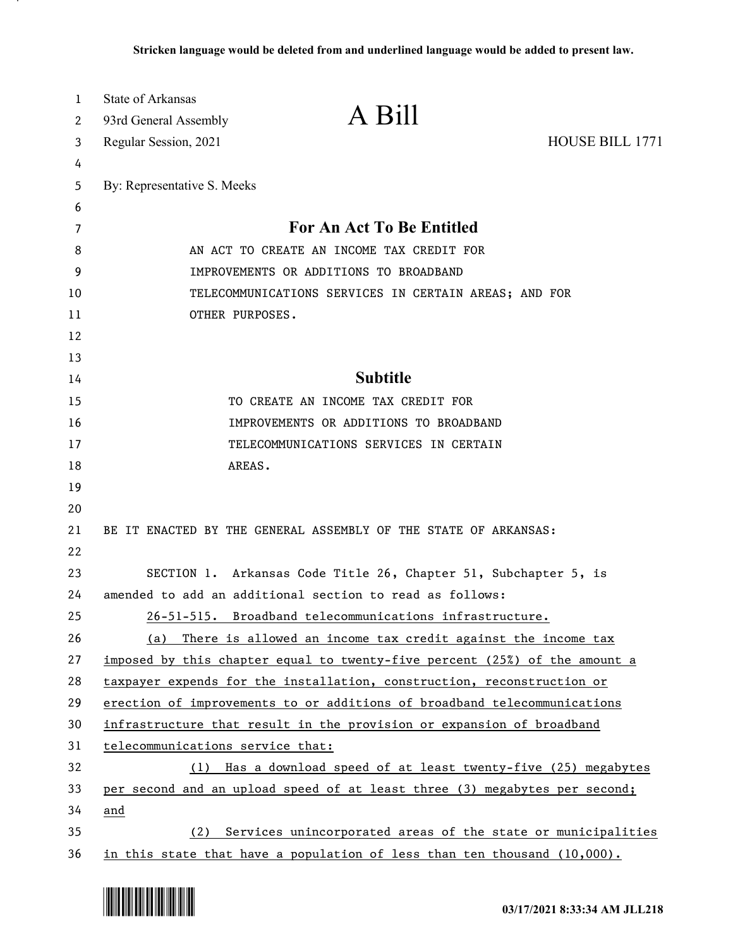| 1  | State of Arkansas                                        | A Bill                                                                      |                        |
|----|----------------------------------------------------------|-----------------------------------------------------------------------------|------------------------|
| 2  | 93rd General Assembly                                    |                                                                             |                        |
| 3  | Regular Session, 2021                                    |                                                                             | <b>HOUSE BILL 1771</b> |
| 4  |                                                          |                                                                             |                        |
| 5  | By: Representative S. Meeks                              |                                                                             |                        |
| 6  |                                                          |                                                                             |                        |
| 7  |                                                          | For An Act To Be Entitled                                                   |                        |
| 8  |                                                          | AN ACT TO CREATE AN INCOME TAX CREDIT FOR                                   |                        |
| 9  |                                                          | IMPROVEMENTS OR ADDITIONS TO BROADBAND                                      |                        |
| 10 | TELECOMMUNICATIONS SERVICES IN CERTAIN AREAS; AND FOR    |                                                                             |                        |
| 11 | OTHER PURPOSES.                                          |                                                                             |                        |
| 12 |                                                          |                                                                             |                        |
| 13 |                                                          |                                                                             |                        |
| 14 |                                                          | <b>Subtitle</b>                                                             |                        |
| 15 |                                                          | TO CREATE AN INCOME TAX CREDIT FOR                                          |                        |
| 16 |                                                          | IMPROVEMENTS OR ADDITIONS TO BROADBAND                                      |                        |
| 17 |                                                          | TELECOMMUNICATIONS SERVICES IN CERTAIN                                      |                        |
| 18 | AREAS.                                                   |                                                                             |                        |
| 19 |                                                          |                                                                             |                        |
| 20 |                                                          |                                                                             |                        |
| 21 |                                                          | BE IT ENACTED BY THE GENERAL ASSEMBLY OF THE STATE OF ARKANSAS:             |                        |
| 22 |                                                          |                                                                             |                        |
| 23 |                                                          | SECTION 1. Arkansas Code Title 26, Chapter 51, Subchapter 5, is             |                        |
| 24 | amended to add an additional section to read as follows: |                                                                             |                        |
| 25 |                                                          | 26-51-515. Broadband telecommunications infrastructure.                     |                        |
| 26 | (a)                                                      | There is allowed an income tax credit against the income tax                |                        |
| 27 |                                                          | imposed by this chapter equal to twenty-five percent (25%) of the amount a  |                        |
| 28 |                                                          | taxpayer expends for the installation, construction, reconstruction or      |                        |
| 29 |                                                          | erection of improvements to or additions of broadband telecommunications    |                        |
| 30 |                                                          | infrastructure that result in the provision or expansion of broadband       |                        |
| 31 | telecommunications service that:                         |                                                                             |                        |
| 32 | (1)                                                      | Has a download speed of at least twenty-five (25) megabytes                 |                        |
| 33 |                                                          | per second and an upload speed of at least three (3) megabytes per second;  |                        |
| 34 | and                                                      |                                                                             |                        |
| 35 | (2)                                                      | Services unincorporated areas of the state or municipalities                |                        |
| 36 |                                                          | in this state that have a population of less than ten thousand $(10,000)$ . |                        |